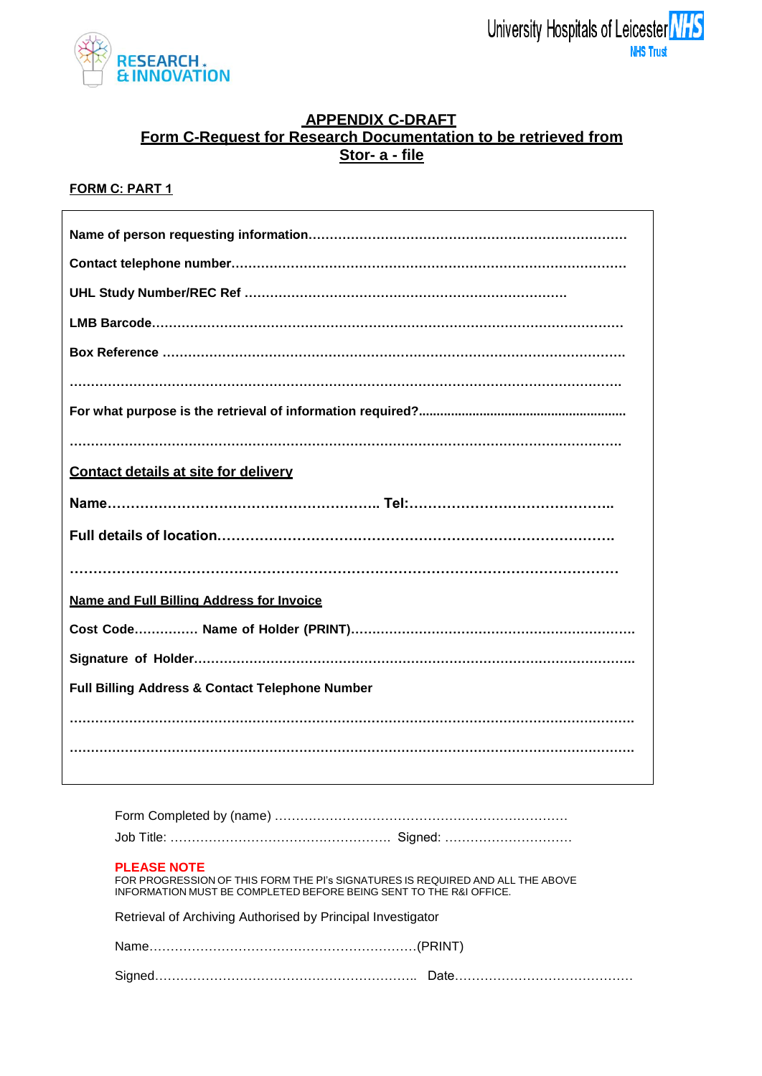

## **APPENDIX C-DRAFT Form C-Request for Research Documentation to be retrieved from Stor- a - file**

### **FORM C: PART 1**

| Contact details at site for delivery                       |
|------------------------------------------------------------|
|                                                            |
|                                                            |
| Name and Full Billing Address for Invoice                  |
|                                                            |
|                                                            |
| <b>Full Billing Address &amp; Contact Telephone Number</b> |
|                                                            |
|                                                            |

#### **PLEASE NOTE**

| FOR PROGRESSION OF THIS FORM THE PI's SIGNATURES IS REQUIRED AND ALL THE ABOVE |  |
|--------------------------------------------------------------------------------|--|
| INFORMATION MUST BE COMPLETED BEFORE BEING SENT TO THE R&I OFFICE.             |  |

|  |  |  |  |  | Retrieval of Archiving Authorised by Principal Investigator |
|--|--|--|--|--|-------------------------------------------------------------|
|--|--|--|--|--|-------------------------------------------------------------|

| Signed………………………………………………………… |  |
|------------------------------|--|
|------------------------------|--|